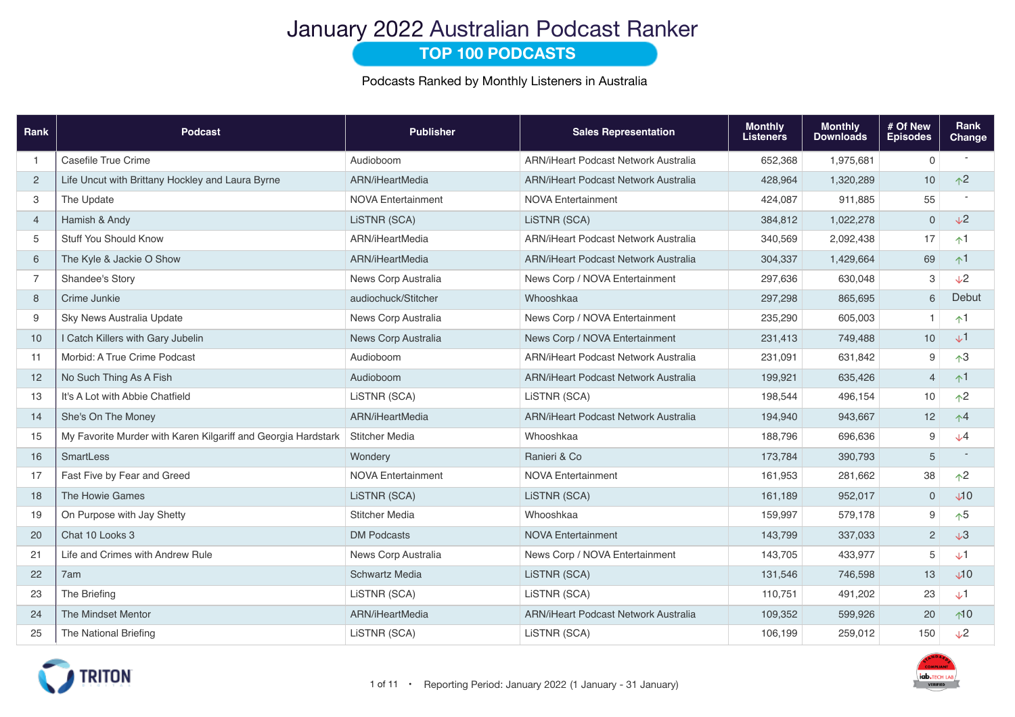## January 2022 Australian Podcast Ranker

### **TOP 100 PODCASTS**

Podcasts Ranked by Monthly Listeners in Australia

| Rank           | <b>Podcast</b>                                                | <b>Publisher</b>          | <b>Sales Representation</b>                 | <b>Monthly</b><br><b>Listeners</b> | <b>Monthly</b><br><b>Downloads</b> | # Of New<br><b>Episodes</b> | Rank<br><b>Change</b>   |
|----------------|---------------------------------------------------------------|---------------------------|---------------------------------------------|------------------------------------|------------------------------------|-----------------------------|-------------------------|
| $\overline{1}$ | Casefile True Crime                                           | Audioboom                 | ARN/iHeart Podcast Network Australia        | 652,368                            | 1,975,681                          | 0                           |                         |
| $\overline{c}$ | Life Uncut with Brittany Hockley and Laura Byrne              | ARN/iHeartMedia           | ARN/iHeart Podcast Network Australia        | 428,964                            | 1,320,289                          | 10                          | $\uparrow$ <sup>2</sup> |
| 3              | The Update                                                    | <b>NOVA Entertainment</b> | <b>NOVA Entertainment</b>                   | 424,087                            | 911,885                            | 55                          |                         |
| $\overline{4}$ | Hamish & Andy                                                 | LISTNR (SCA)              | LISTNR (SCA)                                | 384,812                            | 1,022,278                          | $\mathbf 0$                 | $\sqrt{2}$              |
| 5              | <b>Stuff You Should Know</b>                                  | ARN/iHeartMedia           | ARN/iHeart Podcast Network Australia        | 340,569                            | 2,092,438                          | 17                          | $\uparrow$ 1            |
| 6              | The Kyle & Jackie O Show                                      | ARN/iHeartMedia           | ARN/iHeart Podcast Network Australia        | 304,337                            | 1,429,664                          | 69                          | $\uparrow$ 1            |
| $\overline{7}$ | Shandee's Story                                               | News Corp Australia       | News Corp / NOVA Entertainment              | 297,636                            | 630,048                            | З                           | $\sqrt{2}$              |
| 8              | Crime Junkie                                                  | audiochuck/Stitcher       | Whooshkaa                                   | 297,298                            | 865,695                            | 6                           | Debut                   |
| 9              | Sky News Australia Update                                     | News Corp Australia       | News Corp / NOVA Entertainment              | 235,290                            | 605,003                            | $\mathbf{1}$                | $\uparrow$ 1            |
| 10             | I Catch Killers with Gary Jubelin                             | News Corp Australia       | News Corp / NOVA Entertainment              | 231,413                            | 749,488                            | 10                          | $\downarrow$ 1          |
| 11             | Morbid: A True Crime Podcast                                  | Audioboom                 | <b>ARN/iHeart Podcast Network Australia</b> | 231,091                            | 631,842                            | 9                           | $\uparrow$ <sup>3</sup> |
| 12             | No Such Thing As A Fish                                       | Audioboom                 | <b>ARN/iHeart Podcast Network Australia</b> | 199,921                            | 635,426                            | $\overline{4}$              | $\uparrow$ 1            |
| 13             | It's A Lot with Abbie Chatfield                               | LISTNR (SCA)              | LISTNR (SCA)                                | 198,544                            | 496,154                            | 10                          | $\uparrow$ <sup>2</sup> |
| 14             | She's On The Money                                            | ARN/iHeartMedia           | <b>ARN/iHeart Podcast Network Australia</b> | 194,940                            | 943,667                            | 12                          | $\uparrow$ 4            |
| 15             | My Favorite Murder with Karen Kilgariff and Georgia Hardstark | Stitcher Media            | Whooshkaa                                   | 188,796                            | 696,636                            | 9                           | $\sqrt{4}$              |
| 16             | SmartLess                                                     | Wondery                   | Ranieri & Co                                | 173,784                            | 390,793                            | 5                           |                         |
| 17             | Fast Five by Fear and Greed                                   | <b>NOVA Entertainment</b> | <b>NOVA Entertainment</b>                   | 161,953                            | 281,662                            | 38                          | $\uparrow$ <sup>2</sup> |
| 18             | The Howie Games                                               | LiSTNR (SCA)              | LiSTNR (SCA)                                | 161,189                            | 952,017                            | 0                           | $\Psi$                  |
| 19             | On Purpose with Jay Shetty                                    | <b>Stitcher Media</b>     | Whooshkaa                                   | 159,997                            | 579,178                            | 9                           | $\uparrow 5$            |
| 20             | Chat 10 Looks 3                                               | <b>DM Podcasts</b>        | <b>NOVA Entertainment</b>                   | 143,799                            | 337,033                            | $\overline{2}$              | $\sqrt{3}$              |
| 21             | Life and Crimes with Andrew Rule                              | News Corp Australia       | News Corp / NOVA Entertainment              | 143,705                            | 433,977                            | 5                           | $\sqrt{1}$              |
| 22             | 7am                                                           | <b>Schwartz Media</b>     | LISTNR (SCA)                                | 131,546                            | 746,598                            | 13                          | $\Psi$                  |
| 23             | The Briefing                                                  | LISTNR (SCA)              | LISTNR (SCA)                                | 110,751                            | 491,202                            | 23                          | $\downarrow$ 1          |
| 24             | The Mindset Mentor                                            | ARN/iHeartMedia           | <b>ARN/iHeart Podcast Network Australia</b> | 109,352                            | 599,926                            | 20                          | $\uparrow$ 10           |
| 25             | The National Briefing                                         | LiSTNR (SCA)              | LiSTNR (SCA)                                | 106,199                            | 259,012                            | 150                         | $\sqrt{2}$              |

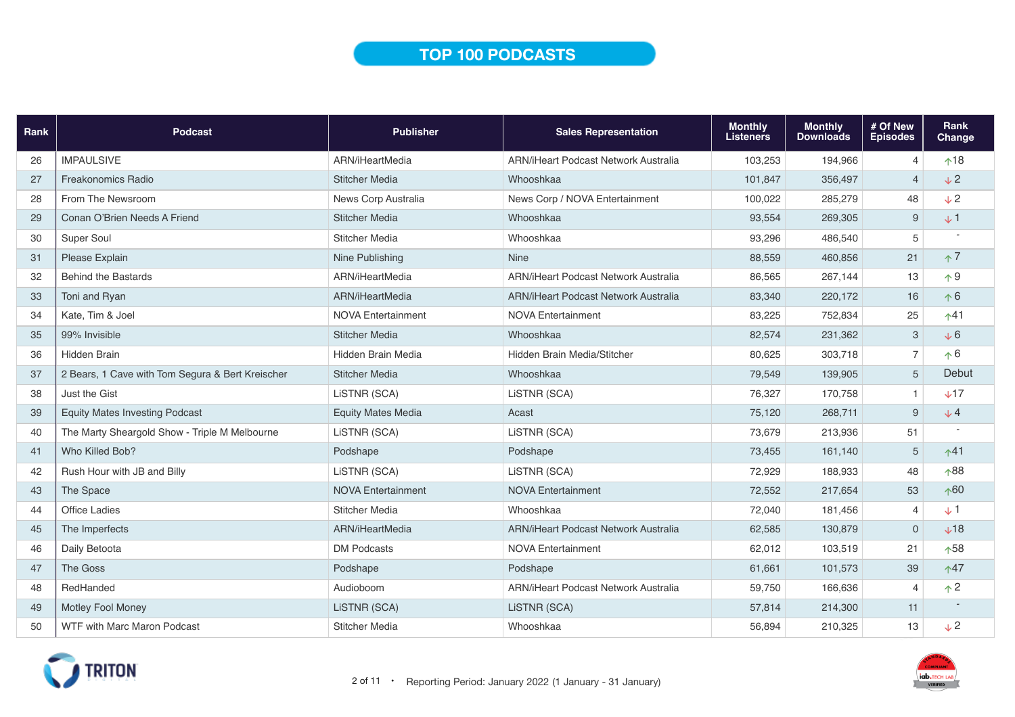## **TOP 100 PODCASTS**

| Rank | <b>Podcast</b>                                   | <b>Publisher</b>          | <b>Sales Representation</b>                 | <b>Monthly</b><br><b>Listeners</b> | <b>Monthly</b><br><b>Downloads</b> | # Of New<br><b>Episodes</b> | Rank<br>Change |
|------|--------------------------------------------------|---------------------------|---------------------------------------------|------------------------------------|------------------------------------|-----------------------------|----------------|
| 26   | <b>IMPAULSIVE</b>                                | ARN/iHeartMedia           | <b>ARN/iHeart Podcast Network Australia</b> | 103,253                            | 194,966                            | $\overline{4}$              | $^{\text{18}}$ |
| 27   | <b>Freakonomics Radio</b>                        | <b>Stitcher Media</b>     | Whooshkaa                                   | 101,847                            | 356,497                            | $\overline{4}$              | $\sqrt{2}$     |
| 28   | From The Newsroom                                | News Corp Australia       | News Corp / NOVA Entertainment              | 100,022                            | 285,279                            | 48                          | $\sqrt{2}$     |
| 29   | Conan O'Brien Needs A Friend                     | <b>Stitcher Media</b>     | Whooshkaa                                   | 93,554                             | 269,305                            | 9                           | $\sqrt{1}$     |
| 30   | Super Soul                                       | <b>Stitcher Media</b>     | Whooshkaa                                   | 93,296                             | 486,540                            | 5                           |                |
| 31   | Please Explain                                   | Nine Publishing           | <b>Nine</b>                                 | 88,559                             | 460,856                            | 21                          | $\uparrow$ 7   |
| 32   | <b>Behind the Bastards</b>                       | ARN/iHeartMedia           | <b>ARN/iHeart Podcast Network Australia</b> | 86,565                             | 267,144                            | 13                          | $\wedge$ 9     |
| 33   | Toni and Ryan                                    | ARN/iHeartMedia           | ARN/iHeart Podcast Network Australia        | 83,340                             | 220,172                            | 16                          | $\uparrow 6$   |
| 34   | Kate, Tim & Joel                                 | <b>NOVA Entertainment</b> | <b>NOVA Entertainment</b>                   | 83,225                             | 752,834                            | 25                          | $\uparrow$ 41  |
| 35   | 99% Invisible                                    | <b>Stitcher Media</b>     | Whooshkaa                                   | 82,574                             | 231,362                            | 3                           | $\sqrt{6}$     |
| 36   | <b>Hidden Brain</b>                              | Hidden Brain Media        | Hidden Brain Media/Stitcher                 | 80,625                             | 303,718                            | $\overline{7}$              | $\uparrow 6$   |
| 37   | 2 Bears, 1 Cave with Tom Segura & Bert Kreischer | <b>Stitcher Media</b>     | Whooshkaa                                   | 79,549                             | 139,905                            | 5                           | Debut          |
| 38   | Just the Gist                                    | LiSTNR (SCA)              | LiSTNR (SCA)                                | 76,327                             | 170,758                            | $\mathbf{1}$                | $\times$ 17    |
| 39   | <b>Equity Mates Investing Podcast</b>            | <b>Equity Mates Media</b> | Acast                                       | 75,120                             | 268,711                            | 9                           | $\sqrt{4}$     |
| 40   | The Marty Sheargold Show - Triple M Melbourne    | LiSTNR (SCA)              | LiSTNR (SCA)                                | 73,679                             | 213,936                            | 51                          |                |
| 41   | Who Killed Bob?                                  | Podshape                  | Podshape                                    | 73,455                             | 161,140                            | 5                           | $\uparrow$ 41  |
| 42   | Rush Hour with JB and Billy                      | LISTNR (SCA)              | LISTNR (SCA)                                | 72,929                             | 188,933                            | 48                          | $\wedge$ 88    |
| 43   | The Space                                        | <b>NOVA Entertainment</b> | <b>NOVA Entertainment</b>                   | 72,552                             | 217,654                            | 53                          | $\wedge$ 60    |
| 44   | <b>Office Ladies</b>                             | Stitcher Media            | Whooshkaa                                   | 72,040                             | 181,456                            | $\overline{4}$              | $\sqrt{1}$     |
| 45   | The Imperfects                                   | ARN/iHeartMedia           | ARN/iHeart Podcast Network Australia        | 62,585                             | 130,879                            | $\mathbf 0$                 | $+18$          |
| 46   | Daily Betoota                                    | <b>DM Podcasts</b>        | <b>NOVA Entertainment</b>                   | 62,012                             | 103,519                            | 21                          | $\wedge$ 58    |
| 47   | The Goss                                         | Podshape                  | Podshape                                    | 61,661                             | 101,573                            | 39                          | $\uparrow$ 47  |
| 48   | RedHanded                                        | Audioboom                 | ARN/iHeart Podcast Network Australia        | 59,750                             | 166,636                            | $\overline{4}$              | $\uparrow$ 2   |
| 49   | <b>Motley Fool Money</b>                         | LiSTNR (SCA)              | LISTNR (SCA)                                | 57,814                             | 214,300                            | 11                          |                |
| 50   | WTF with Marc Maron Podcast                      | <b>Stitcher Media</b>     | Whooshkaa                                   | 56,894                             | 210,325                            | 13                          | $\sqrt{2}$     |



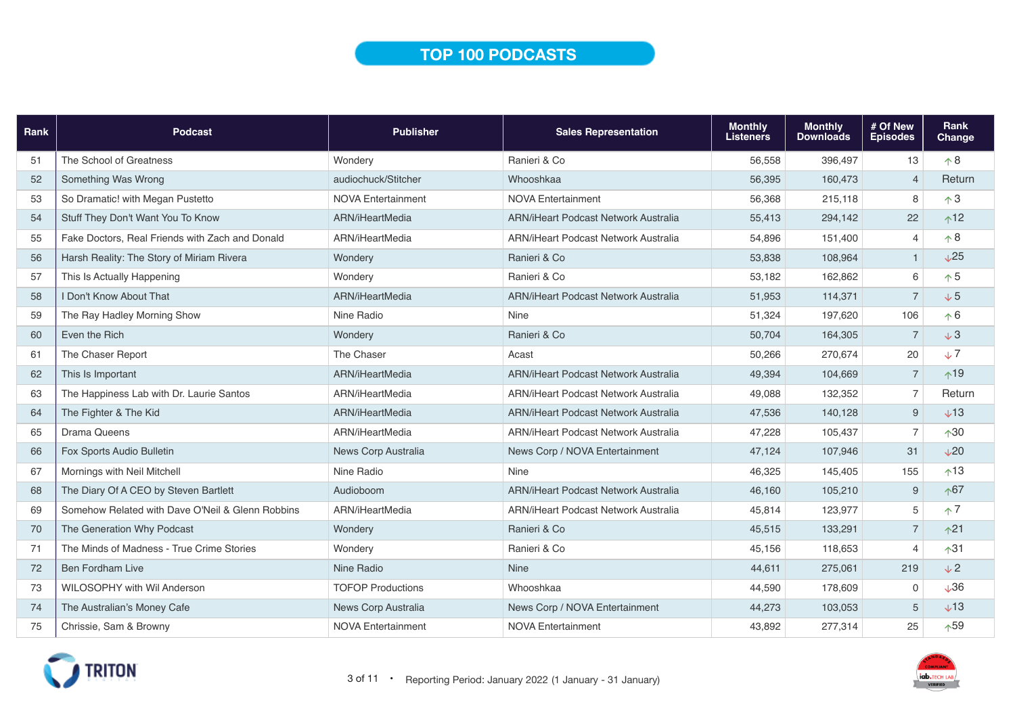## **TOP 100 PODCASTS**

| Rank | <b>Podcast</b>                                   | <b>Publisher</b>          | <b>Sales Representation</b>                 | <b>Monthly</b><br><b>Listeners</b> | <b>Monthly</b><br><b>Downloads</b> | # Of New<br><b>Episodes</b> | Rank<br>Change  |
|------|--------------------------------------------------|---------------------------|---------------------------------------------|------------------------------------|------------------------------------|-----------------------------|-----------------|
| 51   | The School of Greatness                          | Wondery                   | Ranieri & Co                                | 56,558                             | 396,497                            | 13                          | $\uparrow 8$    |
| 52   | Something Was Wrong                              | audiochuck/Stitcher       | Whooshkaa                                   | 56,395                             | 160,473                            | $\overline{4}$              | Return          |
| 53   | So Dramatic! with Megan Pustetto                 | <b>NOVA Entertainment</b> | <b>NOVA Entertainment</b>                   | 56,368                             | 215,118                            | 8                           | $\uparrow$ 3    |
| 54   | Stuff They Don't Want You To Know                | ARN/iHeartMedia           | ARN/iHeart Podcast Network Australia        | 55,413                             | 294,142                            | 22                          | $^{\text{12}}$  |
| 55   | Fake Doctors, Real Friends with Zach and Donald  | ARN/iHeartMedia           | ARN/iHeart Podcast Network Australia        | 54.896                             | 151,400                            | $\overline{4}$              | $\wedge$ 8      |
| 56   | Harsh Reality: The Story of Miriam Rivera        | Wondery                   | Ranieri & Co                                | 53,838                             | 108,964                            | $\mathbf{1}$                | $\sqrt{25}$     |
| 57   | This Is Actually Happening                       | Wondery                   | Ranieri & Co                                | 53,182                             | 162,862                            | 6                           | $\uparrow$ 5    |
| 58   | I Don't Know About That                          | ARN/iHeartMedia           | ARN/iHeart Podcast Network Australia        | 51,953                             | 114,371                            | $\overline{7}$              | $\sqrt{5}$      |
| 59   | The Ray Hadley Morning Show                      | Nine Radio                | Nine                                        | 51,324                             | 197,620                            | 106                         | $\uparrow 6$    |
| 60   | Even the Rich                                    | Wondery                   | Ranieri & Co                                | 50,704                             | 164,305                            | $\overline{7}$              | $\sqrt{3}$      |
| 61   | The Chaser Report                                | The Chaser                | Acast                                       | 50,266                             | 270,674                            | 20                          | $\sqrt{7}$      |
| 62   | This Is Important                                | ARN/iHeartMedia           | ARN/iHeart Podcast Network Australia        | 49,394                             | 104,669                            | $\overline{7}$              | $\uparrow$ 19   |
| 63   | The Happiness Lab with Dr. Laurie Santos         | ARN/iHeartMedia           | ARN/iHeart Podcast Network Australia        | 49,088                             | 132,352                            | 7                           | Return          |
| 64   | The Fighter & The Kid                            | ARN/iHeartMedia           | ARN/iHeart Podcast Network Australia        | 47,536                             | 140,128                            | 9                           | $+13$           |
| 65   | <b>Drama Queens</b>                              | ARN/iHeartMedia           | ARN/iHeart Podcast Network Australia        | 47,228                             | 105,437                            | $\overline{7}$              | $\uparrow$ 30   |
| 66   | Fox Sports Audio Bulletin                        | News Corp Australia       | News Corp / NOVA Entertainment              | 47,124                             | 107,946                            | 31                          | V <sub>20</sub> |
| 67   | Mornings with Neil Mitchell                      | Nine Radio                | <b>Nine</b>                                 | 46,325                             | 145.405                            | 155                         | $\uparrow$ 13   |
| 68   | The Diary Of A CEO by Steven Bartlett            | Audioboom                 | <b>ARN/iHeart Podcast Network Australia</b> | 46,160                             | 105,210                            | $\boldsymbol{9}$            | $\uparrow$ 67   |
| 69   | Somehow Related with Dave O'Neil & Glenn Robbins | ARN/iHeartMedia           | ARN/iHeart Podcast Network Australia        | 45,814                             | 123,977                            | $\sqrt{5}$                  | $\uparrow$ 7    |
| 70   | The Generation Why Podcast                       | Wondery                   | Ranieri & Co                                | 45,515                             | 133,291                            | $\overline{7}$              | $\uparrow$ 21   |
| 71   | The Minds of Madness - True Crime Stories        | Wondery                   | Ranieri & Co                                | 45,156                             | 118,653                            | $\overline{4}$              | $\uparrow$ 31   |
| 72   | <b>Ben Fordham Live</b>                          | Nine Radio                | <b>Nine</b>                                 | 44,611                             | 275,061                            | 219                         | $\sqrt{2}$      |
| 73   | <b>WILOSOPHY with Wil Anderson</b>               | <b>TOFOP Productions</b>  | Whooshkaa                                   | 44,590                             | 178,609                            | $\mathbf 0$                 | $\sqrt{36}$     |
| 74   | The Australian's Money Cafe                      | News Corp Australia       | News Corp / NOVA Entertainment              | 44,273                             | 103,053                            | 5                           | $+13$           |
| 75   | Chrissie, Sam & Browny                           | <b>NOVA Entertainment</b> | <b>NOVA Entertainment</b>                   | 43,892                             | 277,314                            | 25                          | $\uparrow$ 59   |

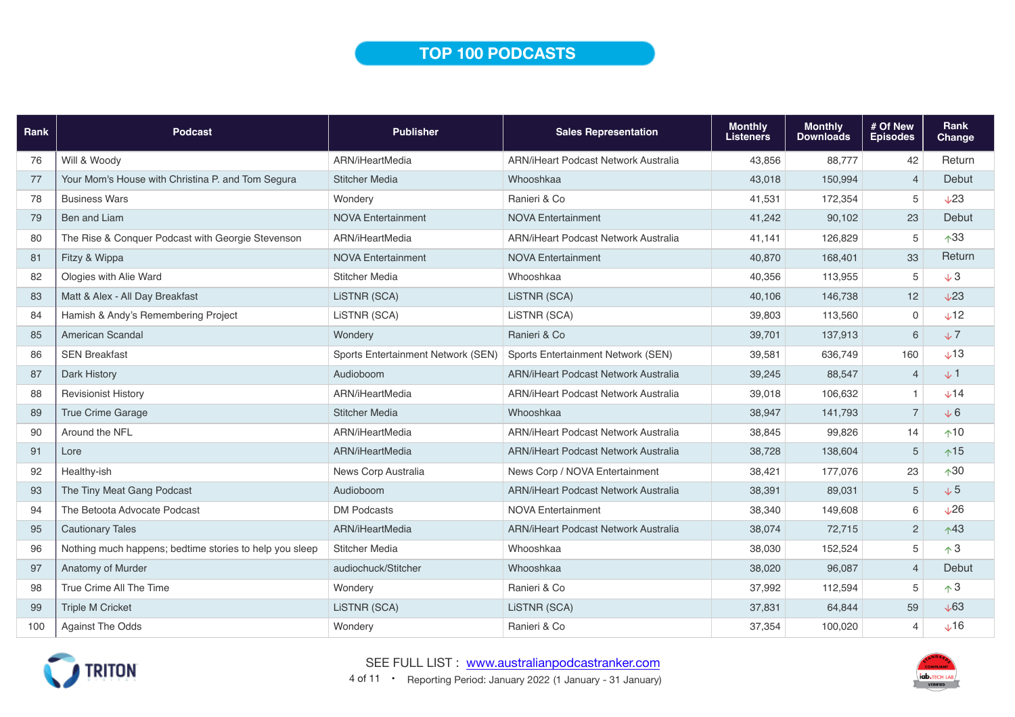### **TOP 100 PODCASTS**

| Rank | <b>Podcast</b>                                          | <b>Publisher</b>                   | <b>Sales Representation</b>                 | <b>Monthly</b><br><b>Listeners</b> | <b>Monthly</b><br><b>Downloads</b> | # Of New<br><b>Episodes</b> | Rank<br>Change   |
|------|---------------------------------------------------------|------------------------------------|---------------------------------------------|------------------------------------|------------------------------------|-----------------------------|------------------|
| 76   | Will & Woody                                            | ARN/iHeartMedia                    | ARN/iHeart Podcast Network Australia        | 43,856                             | 88,777                             | 42                          | Return           |
| 77   | Your Mom's House with Christina P. and Tom Segura       | <b>Stitcher Media</b>              | Whooshkaa                                   | 43,018                             | 150,994                            | $\overline{4}$              | Debut            |
| 78   | <b>Business Wars</b>                                    | Wondery                            | Ranieri & Co                                | 41,531                             | 172,354                            | $\overline{5}$              | $\sqrt{23}$      |
| 79   | Ben and Liam                                            | <b>NOVA Entertainment</b>          | <b>NOVA Entertainment</b>                   | 41,242                             | 90,102                             | 23                          | Debut            |
| 80   | The Rise & Conquer Podcast with Georgie Stevenson       | ARN/iHeartMedia                    | ARN/iHeart Podcast Network Australia        | 41.141                             | 126,829                            | 5                           | $\wedge$ 33      |
| 81   | Fitzy & Wippa                                           | <b>NOVA Entertainment</b>          | <b>NOVA Entertainment</b>                   | 40,870                             | 168,401                            | 33                          | Return           |
| 82   | Ologies with Alie Ward                                  | <b>Stitcher Media</b>              | Whooshkaa                                   | 40,356                             | 113,955                            | 5                           | $\sqrt{3}$       |
| 83   | Matt & Alex - All Day Breakfast                         | LISTNR (SCA)                       | LISTNR (SCA)                                | 40,106                             | 146,738                            | 12                          | $\sqrt{23}$      |
| 84   | Hamish & Andy's Remembering Project                     | LiSTNR (SCA)                       | LISTNR (SCA)                                | 39,803                             | 113,560                            | $\mathbf 0$                 | V12              |
| 85   | American Scandal                                        | Wondery                            | Ranieri & Co                                | 39,701                             | 137,913                            | 6                           | $\sqrt{7}$       |
| 86   | <b>SEN Breakfast</b>                                    | Sports Entertainment Network (SEN) | Sports Entertainment Network (SEN)          | 39,581                             | 636,749                            | 160                         | $\sqrt{13}$      |
| 87   | Dark History                                            | Audioboom                          | ARN/iHeart Podcast Network Australia        | 39,245                             | 88,547                             | $\overline{4}$              | $+1$             |
| 88   | <b>Revisionist History</b>                              | ARN/iHeartMedia                    | <b>ARN/iHeart Podcast Network Australia</b> | 39,018                             | 106,632                            | $\mathbf{1}$                | $+14$            |
| 89   | <b>True Crime Garage</b>                                | <b>Stitcher Media</b>              | Whooshkaa                                   | 38,947                             | 141,793                            | $\overline{7}$              | $\sqrt{6}$       |
| 90   | Around the NFL                                          | ARN/iHeartMedia                    | ARN/iHeart Podcast Network Australia        | 38,845                             | 99,826                             | 14                          | $\uparrow$ 10    |
| 91   | Lore                                                    | ARN/iHeartMedia                    | ARN/iHeart Podcast Network Australia        | 38,728                             | 138,604                            | 5                           | $\uparrow$ 15    |
| 92   | Healthy-ish                                             | News Corp Australia                | News Corp / NOVA Entertainment              | 38,421                             | 177,076                            | 23                          | $\wedge$ 30      |
| 93   | The Tiny Meat Gang Podcast                              | Audioboom                          | ARN/iHeart Podcast Network Australia        | 38,391                             | 89,031                             | $\sqrt{5}$                  | $\sqrt{5}$       |
| 94   | The Betoota Advocate Podcast                            | <b>DM Podcasts</b>                 | <b>NOVA Entertainment</b>                   | 38,340                             | 149,608                            | 6                           | $\sqrt{26}$      |
| 95   | <b>Cautionary Tales</b>                                 | ARN/iHeartMedia                    | ARN/iHeart Podcast Network Australia        | 38,074                             | 72,715                             | $\mathbf{2}$                | $\uparrow$ 43    |
| 96   | Nothing much happens; bedtime stories to help you sleep | <b>Stitcher Media</b>              | Whooshkaa                                   | 38,030                             | 152,524                            | $\overline{5}$              | $\uparrow$ 3     |
| 97   | Anatomy of Murder                                       | audiochuck/Stitcher                | Whooshkaa                                   | 38,020                             | 96,087                             | $\overline{4}$              | Debut            |
| 98   | True Crime All The Time                                 | Wondery                            | Ranieri & Co                                | 37,992                             | 112,594                            | 5                           | $\uparrow$ 3     |
| 99   | <b>Triple M Cricket</b>                                 | LiSTNR (SCA)                       | LiSTNR (SCA)                                | 37,831                             | 64,844                             | 59                          | $\sqrt{63}$      |
| 100  | Against The Odds                                        | Wondery                            | Ranieri & Co                                | 37,354                             | 100,020                            | $\overline{4}$              | $$\downarrow$16$ |



4 of 11 • Reporting Period: January 2022 (1 January - 31 January) SEE FULL LIST : www.australianpodcastranker.com

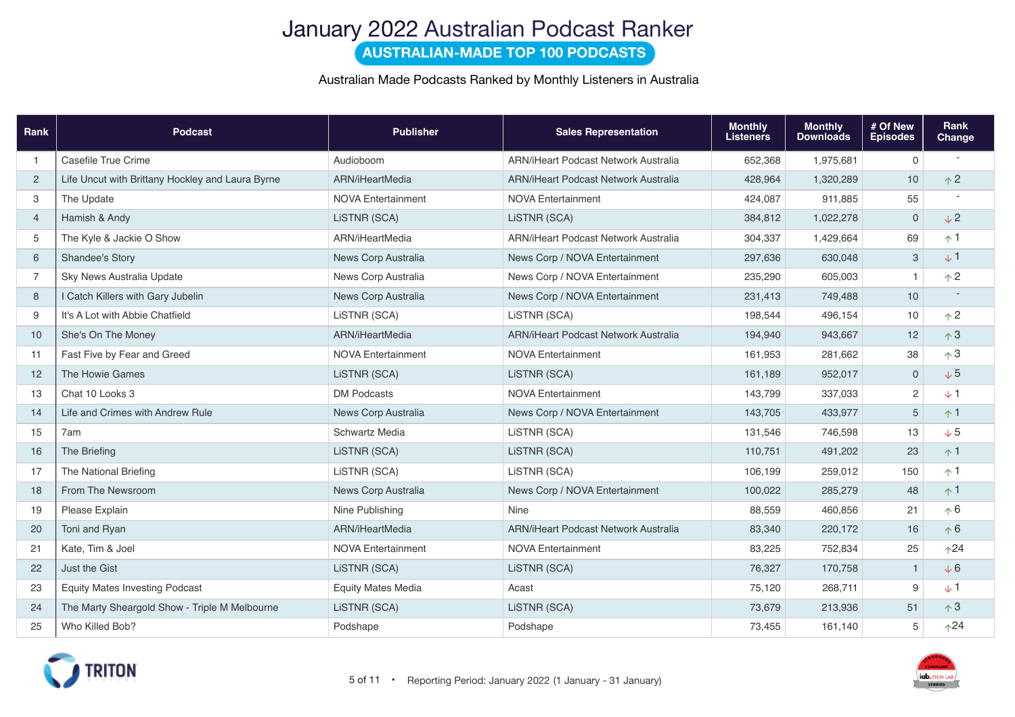# January 2022 Australian Podcast Ranker

**AUSTRALIAN-MADE TOP 100 PODCASTS**

#### Australian Made Podcasts Ranked by Monthly Listeners in Australia

| Rank           | <b>Podcast</b>                                   | <b>Publisher</b>          | <b>Sales Representation</b>                 | <b>Monthly</b><br><b>Listeners</b> | <b>Monthly</b><br><b>Downloads</b> | # Of New<br><b>Episodes</b> | Rank<br>Change |
|----------------|--------------------------------------------------|---------------------------|---------------------------------------------|------------------------------------|------------------------------------|-----------------------------|----------------|
| $\mathbf 1$    | Casefile True Crime                              | Audioboom                 | <b>ARN/iHeart Podcast Network Australia</b> | 652,368                            | 1,975,681                          | $\mathbf 0$                 |                |
| 2              | Life Uncut with Brittany Hockley and Laura Byrne | ARN/iHeartMedia           | ARN/iHeart Podcast Network Australia        | 428,964                            | 1,320,289                          | 10                          | $\uparrow$ 2   |
| 3              | The Update                                       | <b>NOVA Entertainment</b> | <b>NOVA Entertainment</b>                   | 424,087                            | 911,885                            | 55                          |                |
| $\overline{4}$ | Hamish & Andy                                    | LiSTNR (SCA)              | LISTNR (SCA)                                | 384,812                            | 1,022,278                          | $\mathbf 0$                 | $\sqrt{2}$     |
| 5              | The Kyle & Jackie O Show                         | ARN/iHeartMedia           | <b>ARN/iHeart Podcast Network Australia</b> | 304,337                            | 1,429,664                          | 69                          | $\uparrow$ 1   |
| 6              | Shandee's Story                                  | News Corp Australia       | News Corp / NOVA Entertainment              | 297,636                            | 630,048                            | 3                           | $+1$           |
| $\overline{7}$ | Sky News Australia Update                        | News Corp Australia       | News Corp / NOVA Entertainment              | 235,290                            | 605,003                            | $\mathbf{1}$                | $\uparrow$ 2   |
| 8              | I Catch Killers with Gary Jubelin                | News Corp Australia       | News Corp / NOVA Entertainment              | 231,413                            | 749,488                            | 10                          |                |
| 9              | It's A Lot with Abbie Chatfield                  | LiSTNR (SCA)              | LISTNR (SCA)                                | 198,544                            | 496,154                            | 10                          | $\uparrow$ 2   |
| 10             | She's On The Money                               | ARN/iHeartMedia           | <b>ARN/iHeart Podcast Network Australia</b> | 194,940                            | 943,667                            | 12                          | $\uparrow$ 3   |
| 11             | Fast Five by Fear and Greed                      | <b>NOVA Entertainment</b> | <b>NOVA Entertainment</b>                   | 161,953                            | 281,662                            | 38                          | $\uparrow$ 3   |
| 12             | The Howie Games                                  | LISTNR (SCA)              | LISTNR (SCA)                                | 161,189                            | 952,017                            | $\mathbf 0$                 | $\sqrt{5}$     |
| 13             | Chat 10 Looks 3                                  | <b>DM Podcasts</b>        | <b>NOVA Entertainment</b>                   | 143,799                            | 337,033                            | $\sqrt{2}$                  | $\sqrt{1}$     |
| 14             | Life and Crimes with Andrew Rule                 | News Corp Australia       | News Corp / NOVA Entertainment              | 143,705                            | 433,977                            | $\overline{5}$              | $+1$           |
| 15             | 7am                                              | Schwartz Media            | LISTNR (SCA)                                | 131,546                            | 746,598                            | 13                          | $\sqrt{5}$     |
| 16             | The Briefing                                     | LiSTNR (SCA)              | LISTNR (SCA)                                | 110,751                            | 491,202                            | 23                          | $\uparrow$ 1   |
| 17             | The National Briefing                            | LiSTNR (SCA)              | LiSTNR (SCA)                                | 106,199                            | 259,012                            | 150                         | $\uparrow$ 1   |
| 18             | From The Newsroom                                | News Corp Australia       | News Corp / NOVA Entertainment              | 100,022                            | 285,279                            | 48                          | $\uparrow$ 1   |
| 19             | Please Explain                                   | Nine Publishing           | Nine                                        | 88,559                             | 460,856                            | 21                          | $\uparrow 6$   |
| 20             | Toni and Ryan                                    | ARN/iHeartMedia           | <b>ARN/iHeart Podcast Network Australia</b> | 83,340                             | 220,172                            | 16                          | $\uparrow 6$   |
| 21             | Kate. Tim & Joel                                 | <b>NOVA Entertainment</b> | <b>NOVA Entertainment</b>                   | 83,225                             | 752,834                            | 25                          | $\uparrow$ 24  |
| 22             | Just the Gist                                    | LISTNR (SCA)              | LISTNR (SCA)                                | 76,327                             | 170,758                            | $\overline{1}$              | $\sqrt{6}$     |
| 23             | <b>Equity Mates Investing Podcast</b>            | <b>Equity Mates Media</b> | Acast                                       | 75,120                             | 268,711                            | 9                           | $\sqrt{1}$     |
| 24             | The Marty Sheargold Show - Triple M Melbourne    | LiSTNR (SCA)              | LISTNR (SCA)                                | 73,679                             | 213,936                            | 51                          | $\uparrow$ 3   |
| 25             | Who Killed Bob?                                  | Podshape                  | Podshape                                    | 73,455                             | 161,140                            | 5                           | $\uparrow$ 24  |

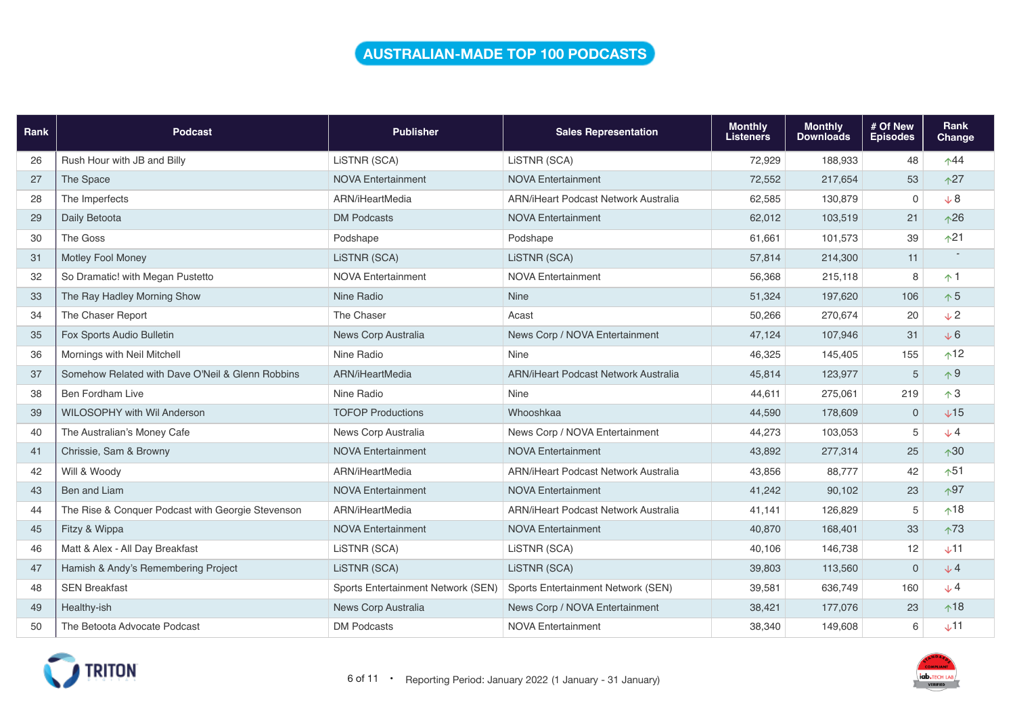### **AUSTRALIAN-MADE TOP 100 PODCASTS**

| Rank | <b>Podcast</b>                                    | <b>Publisher</b>                   | <b>Sales Representation</b>                 | <b>Monthly</b><br><b>Listeners</b> | <b>Monthly</b><br><b>Downloads</b> | # Of New<br><b>Episodes</b> | Rank<br>Change |
|------|---------------------------------------------------|------------------------------------|---------------------------------------------|------------------------------------|------------------------------------|-----------------------------|----------------|
| 26   | Rush Hour with JB and Billy                       | LISTNR (SCA)                       | LISTNR (SCA)                                | 72,929                             | 188,933                            | 48                          | $\uparrow$ 44  |
| 27   | The Space                                         | <b>NOVA Entertainment</b>          | <b>NOVA Entertainment</b>                   | 72,552                             | 217,654                            | 53                          | $\uparrow$ 27  |
| 28   | The Imperfects                                    | ARN/iHeartMedia                    | <b>ARN/iHeart Podcast Network Australia</b> | 62,585                             | 130,879                            | $\mathbf 0$                 | $\sqrt{8}$     |
| 29   | Daily Betoota                                     | <b>DM Podcasts</b>                 | <b>NOVA Entertainment</b>                   | 62,012                             | 103,519                            | 21                          | $\wedge$ 26    |
| 30   | The Goss                                          | Podshape                           | Podshape                                    | 61.661                             | 101,573                            | 39                          | $\uparrow$ 21  |
| 31   | <b>Motley Fool Money</b>                          | LiSTNR (SCA)                       | LISTNR (SCA)                                | 57,814                             | 214,300                            | 11                          |                |
| 32   | So Dramatic! with Megan Pustetto                  | <b>NOVA Entertainment</b>          | <b>NOVA Entertainment</b>                   | 56,368                             | 215,118                            | 8                           | $\uparrow$ 1   |
| 33   | The Ray Hadley Morning Show                       | Nine Radio                         | <b>Nine</b>                                 | 51,324                             | 197,620                            | 106                         | $\uparrow$ 5   |
| 34   | The Chaser Report                                 | The Chaser                         | Acast                                       | 50,266                             | 270,674                            | 20                          | $\sqrt{2}$     |
| 35   | Fox Sports Audio Bulletin                         | News Corp Australia                | News Corp / NOVA Entertainment              | 47,124                             | 107,946                            | 31                          | $\sqrt{6}$     |
| 36   | Mornings with Neil Mitchell                       | Nine Radio                         | <b>Nine</b>                                 | 46,325                             | 145,405                            | 155                         | $^1$           |
| 37   | Somehow Related with Dave O'Neil & Glenn Robbins  | ARN/iHeartMedia                    | ARN/iHeart Podcast Network Australia        | 45,814                             | 123,977                            | 5                           | $\uparrow$ 9   |
| 38   | <b>Ben Fordham Live</b>                           | Nine Radio                         | Nine                                        | 44,611                             | 275,061                            | 219                         | $\uparrow$ 3   |
| 39   | <b>WILOSOPHY with Wil Anderson</b>                | <b>TOFOP Productions</b>           | Whooshkaa                                   | 44,590                             | 178,609                            | $\mathbf 0$                 | $+15$          |
| 40   | The Australian's Money Cafe                       | News Corp Australia                | News Corp / NOVA Entertainment              | 44,273                             | 103,053                            | 5                           | $\sqrt{4}$     |
| 41   | Chrissie, Sam & Browny                            | <b>NOVA Entertainment</b>          | <b>NOVA Entertainment</b>                   | 43,892                             | 277,314                            | 25                          | $\uparrow$ 30  |
| 42   | Will & Woody                                      | ARN/iHeartMedia                    | ARN/iHeart Podcast Network Australia        | 43,856                             | 88,777                             | 42                          | $\uparrow$ 51  |
| 43   | Ben and Liam                                      | <b>NOVA Entertainment</b>          | <b>NOVA Entertainment</b>                   | 41,242                             | 90,102                             | 23                          | $\wedge$ 97    |
| 44   | The Rise & Conquer Podcast with Georgie Stevenson | ARN/iHeartMedia                    | <b>ARN/iHeart Podcast Network Australia</b> | 41,141                             | 126,829                            | 5                           | $\uparrow$ 18  |
| 45   | Fitzy & Wippa                                     | <b>NOVA Entertainment</b>          | <b>NOVA Entertainment</b>                   | 40,870                             | 168,401                            | 33                          | $\uparrow$ 73  |
| 46   | Matt & Alex - All Day Breakfast                   | LiSTNR (SCA)                       | LiSTNR (SCA)                                | 40,106                             | 146,738                            | 12                          | $$\sqrt{11}$$  |
| 47   | Hamish & Andy's Remembering Project               | LiSTNR (SCA)                       | LiSTNR (SCA)                                | 39,803                             | 113,560                            | $\mathbf 0$                 | $\sqrt{4}$     |
| 48   | <b>SEN Breakfast</b>                              | Sports Entertainment Network (SEN) | Sports Entertainment Network (SEN)          | 39,581                             | 636,749                            | 160                         | $\sqrt{4}$     |
| 49   | Healthy-ish                                       | News Corp Australia                | News Corp / NOVA Entertainment              | 38,421                             | 177,076                            | 23                          | $\uparrow$ 18  |
| 50   | The Betoota Advocate Podcast                      | <b>DM Podcasts</b>                 | <b>NOVA Entertainment</b>                   | 38,340                             | 149,608                            | 6                           | $\times$ 11    |

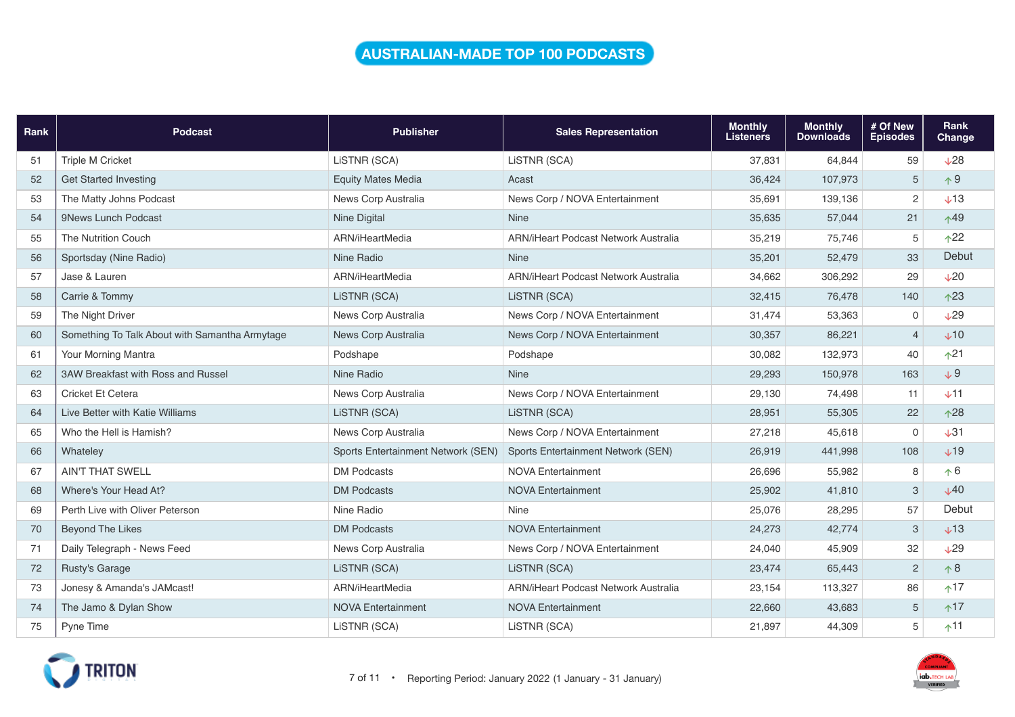### **AUSTRALIAN-MADE TOP 100 PODCASTS**

| Rank | <b>Podcast</b>                                 | <b>Publisher</b>                   | <b>Sales Representation</b>                 | <b>Monthly</b><br><b>Listeners</b> | <b>Monthly</b><br><b>Downloads</b> | # Of New<br><b>Episodes</b> | Rank<br>Change  |
|------|------------------------------------------------|------------------------------------|---------------------------------------------|------------------------------------|------------------------------------|-----------------------------|-----------------|
| 51   | <b>Triple M Cricket</b>                        | LISTNR (SCA)                       | LISTNR (SCA)                                | 37,831                             | 64,844                             | 59                          | $\sqrt{28}$     |
| 52   | <b>Get Started Investing</b>                   | <b>Equity Mates Media</b>          | Acast                                       | 36,424                             | 107,973                            | 5                           | $\uparrow$ 9    |
| 53   | The Matty Johns Podcast                        | News Corp Australia                | News Corp / NOVA Entertainment              | 35.691                             | 139,136                            | $\mathbf{2}$                | $\times$ 13     |
| 54   | 9News Lunch Podcast                            | <b>Nine Digital</b>                | <b>Nine</b>                                 | 35,635                             | 57,044                             | 21                          | $\wedge$ 49     |
| 55   | The Nutrition Couch                            | ARN/iHeartMedia                    | ARN/iHeart Podcast Network Australia        | 35,219                             | 75,746                             | $\mathbf 5$                 | $\uparrow$ 22   |
| 56   | Sportsday (Nine Radio)                         | Nine Radio                         | <b>Nine</b>                                 | 35,201                             | 52,479                             | 33                          | Debut           |
| 57   | Jase & Lauren                                  | ARN/iHeartMedia                    | <b>ARN/iHeart Podcast Network Australia</b> | 34,662                             | 306,292                            | 29                          | $\sqrt{20}$     |
| 58   | Carrie & Tommy                                 | LISTNR (SCA)                       | LISTNR (SCA)                                | 32,415                             | 76,478                             | 140                         | $\wedge$ 23     |
| 59   | The Night Driver                               | News Corp Australia                | News Corp / NOVA Entertainment              | 31,474                             | 53,363                             | $\mathbf 0$                 | $\sqrt{29}$     |
| 60   | Something To Talk About with Samantha Armytage | News Corp Australia                | News Corp / NOVA Entertainment              | 30,357                             | 86,221                             | $\overline{4}$              | $+10$           |
| 61   | Your Morning Mantra                            | Podshape                           | Podshape                                    | 30,082                             | 132,973                            | 40                          | $\uparrow$ 21   |
| 62   | 3AW Breakfast with Ross and Russel             | Nine Radio                         | <b>Nine</b>                                 | 29,293                             | 150,978                            | 163                         | $+9$            |
| 63   | Cricket Et Cetera                              | News Corp Australia                | News Corp / NOVA Entertainment              | 29,130                             | 74,498                             | 11                          | $V$ 11          |
| 64   | Live Better with Katie Williams                | LISTNR (SCA)                       | LISTNR (SCA)                                | 28,951                             | 55,305                             | 22                          | $\wedge$ 28     |
| 65   | Who the Hell is Hamish?                        | News Corp Australia                | News Corp / NOVA Entertainment              | 27,218                             | 45,618                             | $\mathbf 0$                 | $\sqrt{31}$     |
| 66   | Whateley                                       | Sports Entertainment Network (SEN) | Sports Entertainment Network (SEN)          | 26,919                             | 441,998                            | 108                         | $+19$           |
| 67   | <b>AIN'T THAT SWELL</b>                        | <b>DM Podcasts</b>                 | <b>NOVA Entertainment</b>                   | 26,696                             | 55,982                             | 8                           | $\uparrow 6$    |
| 68   | Where's Your Head At?                          | <b>DM Podcasts</b>                 | <b>NOVA Entertainment</b>                   | 25,902                             | 41,810                             | 3                           | V <sub>40</sub> |
| 69   | Perth Live with Oliver Peterson                | Nine Radio                         | <b>Nine</b>                                 | 25,076                             | 28,295                             | 57                          | Debut           |
| 70   | Beyond The Likes                               | <b>DM Podcasts</b>                 | <b>NOVA Entertainment</b>                   | 24,273                             | 42,774                             | 3                           | $+13$           |
| 71   | Daily Telegraph - News Feed                    | News Corp Australia                | News Corp / NOVA Entertainment              | 24,040                             | 45,909                             | 32                          | $\sqrt{29}$     |
| 72   | Rusty's Garage                                 | LiSTNR (SCA)                       | LISTNR (SCA)                                | 23,474                             | 65,443                             | $\overline{c}$              | $\wedge 8$      |
| 73   | Jonesy & Amanda's JAMcast!                     | ARN/iHeartMedia                    | ARN/iHeart Podcast Network Australia        | 23,154                             | 113,327                            | 86                          | $+17$           |
| 74   | The Jamo & Dylan Show                          | <b>NOVA Entertainment</b>          | <b>NOVA Entertainment</b>                   | 22,660                             | 43,683                             | $\sqrt{5}$                  | $+17$           |
| 75   | Pyne Time                                      | LISTNR (SCA)                       | LISTNR (SCA)                                | 21,897                             | 44,309                             | 5                           | $+11$           |

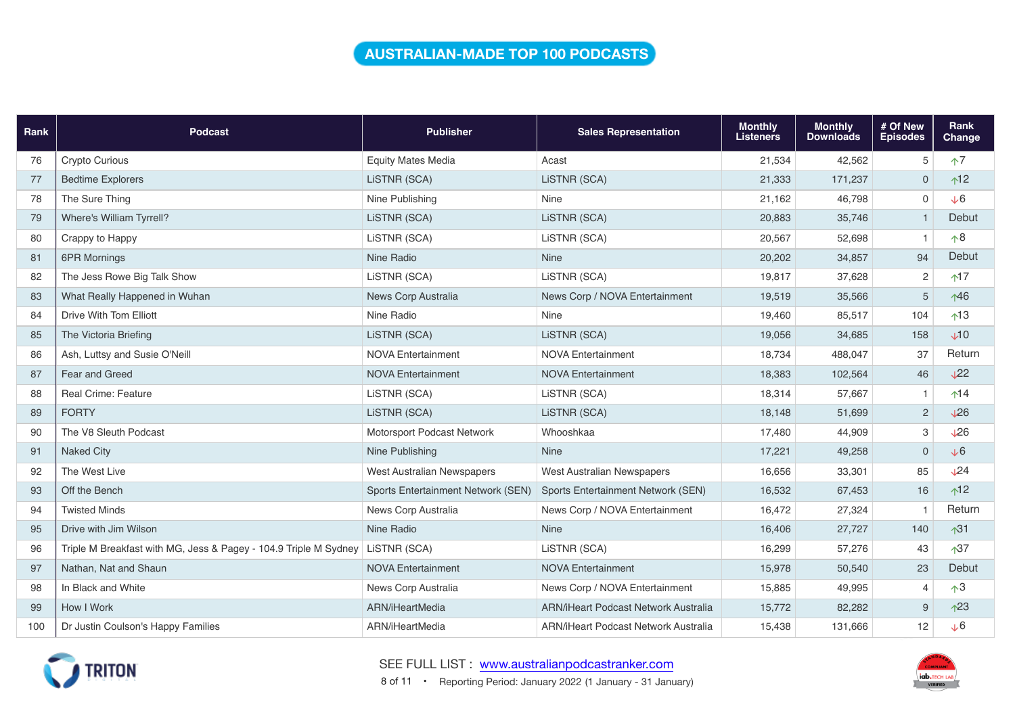### **AUSTRALIAN-MADE TOP 100 PODCASTS**

| Rank | <b>Podcast</b>                                                   | <b>Publisher</b>                   | <b>Sales Representation</b>          | <b>Monthly</b><br><b>Listeners</b> | <b>Monthly</b><br><b>Downloads</b> | # Of New<br><b>Episodes</b> | Rank<br><b>Change</b>     |
|------|------------------------------------------------------------------|------------------------------------|--------------------------------------|------------------------------------|------------------------------------|-----------------------------|---------------------------|
| 76   | <b>Crypto Curious</b>                                            | <b>Equity Mates Media</b>          | Acast                                | 21,534                             | 42,562                             | 5                           | $\uparrow$ 7              |
| 77   | <b>Bedtime Explorers</b>                                         | LISTNR (SCA)                       | LiSTNR (SCA)                         | 21,333                             | 171,237                            | $\overline{0}$              | $^1$                      |
| 78   | The Sure Thing                                                   | Nine Publishing                    | Nine                                 | 21,162                             | 46,798                             | $\mathsf{O}\xspace$         | $\sqrt{6}$                |
| 79   | Where's William Tyrrell?                                         | LISTNR (SCA)                       | LISTNR (SCA)                         | 20,883                             | 35,746                             | $\overline{1}$              | Debut                     |
| 80   | Crappy to Happy                                                  | LiSTNR (SCA)                       | LiSTNR (SCA)                         | 20,567                             | 52,698                             | $\mathbf{1}$                | $\wedge$ 8                |
| 81   | 6PR Mornings                                                     | Nine Radio                         | <b>Nine</b>                          | 20,202                             | 34,857                             | 94                          | Debut                     |
| 82   | The Jess Rowe Big Talk Show                                      | LiSTNR (SCA)                       | LiSTNR (SCA)                         | 19,817                             | 37,628                             | $\overline{2}$              | $*17$                     |
| 83   | What Really Happened in Wuhan                                    | News Corp Australia                | News Corp / NOVA Entertainment       | 19,519                             | 35,566                             | 5                           | $\uparrow$ 46             |
| 84   | Drive With Tom Elliott                                           | Nine Radio                         | Nine                                 | 19,460                             | 85,517                             | 104                         | $\uparrow$ 13             |
| 85   | The Victoria Briefing                                            | LiSTNR (SCA)                       | LiSTNR (SCA)                         | 19,056                             | 34,685                             | 158                         | $\sqrt{10}$               |
| 86   | Ash, Luttsy and Susie O'Neill                                    | <b>NOVA Entertainment</b>          | <b>NOVA Entertainment</b>            | 18,734                             | 488,047                            | 37                          | Return                    |
| 87   | Fear and Greed                                                   | <b>NOVA Entertainment</b>          | <b>NOVA Entertainment</b>            | 18,383                             | 102,564                            | 46                          | $\sqrt{22}$               |
| 88   | Real Crime: Feature                                              | LiSTNR (SCA)                       | LISTNR (SCA)                         | 18,314                             | 57,667                             | $\mathbf{1}$                | $\uparrow$ 14             |
| 89   | <b>FORTY</b>                                                     | LiSTNR (SCA)                       | LiSTNR (SCA)                         | 18,148                             | 51,699                             | 2                           | $\sqrt{26}$               |
| 90   | The V8 Sleuth Podcast                                            | Motorsport Podcast Network         | Whooshkaa                            | 17,480                             | 44,909                             | 3                           | $\sqrt{26}$               |
| 91   | <b>Naked City</b>                                                | Nine Publishing                    | <b>Nine</b>                          | 17,221                             | 49,258                             | $\mathbf 0$                 | $\sqrt{6}$                |
| 92   | The West Live                                                    | <b>West Australian Newspapers</b>  | West Australian Newspapers           | 16,656                             | 33,301                             | 85                          | $\sqrt{24}$               |
| 93   | Off the Bench                                                    | Sports Entertainment Network (SEN) | Sports Entertainment Network (SEN)   | 16,532                             | 67,453                             | 16                          | $\uparrow$ 12             |
| 94   | <b>Twisted Minds</b>                                             | News Corp Australia                | News Corp / NOVA Entertainment       | 16,472                             | 27,324                             | $\overline{1}$              | Return                    |
| 95   | Drive with Jim Wilson                                            | Nine Radio                         | <b>Nine</b>                          | 16,406                             | 27,727                             | 140                         | $\sqrt{31}$               |
| 96   | Triple M Breakfast with MG, Jess & Pagey - 104.9 Triple M Sydney | LISTNR (SCA)                       | LiSTNR (SCA)                         | 16,299                             | 57,276                             | 43                          | $\sqrt{37}$               |
| 97   | Nathan, Nat and Shaun                                            | <b>NOVA Entertainment</b>          | <b>NOVA Entertainment</b>            | 15,978                             | 50,540                             | 23                          | Debut                     |
| 98   | In Black and White                                               | News Corp Australia                | News Corp / NOVA Entertainment       | 15,885                             | 49.995                             | $\overline{4}$              | $\uparrow$ 3              |
| 99   | How I Work                                                       | ARN/iHeartMedia                    | ARN/iHeart Podcast Network Australia | 15,772                             | 82,282                             | 9                           | $\triangle$ <sup>23</sup> |
| 100  | Dr Justin Coulson's Happy Families                               | ARN/iHeartMedia                    | ARN/iHeart Podcast Network Australia | 15,438                             | 131,666                            | 12                          | $\sqrt{6}$                |



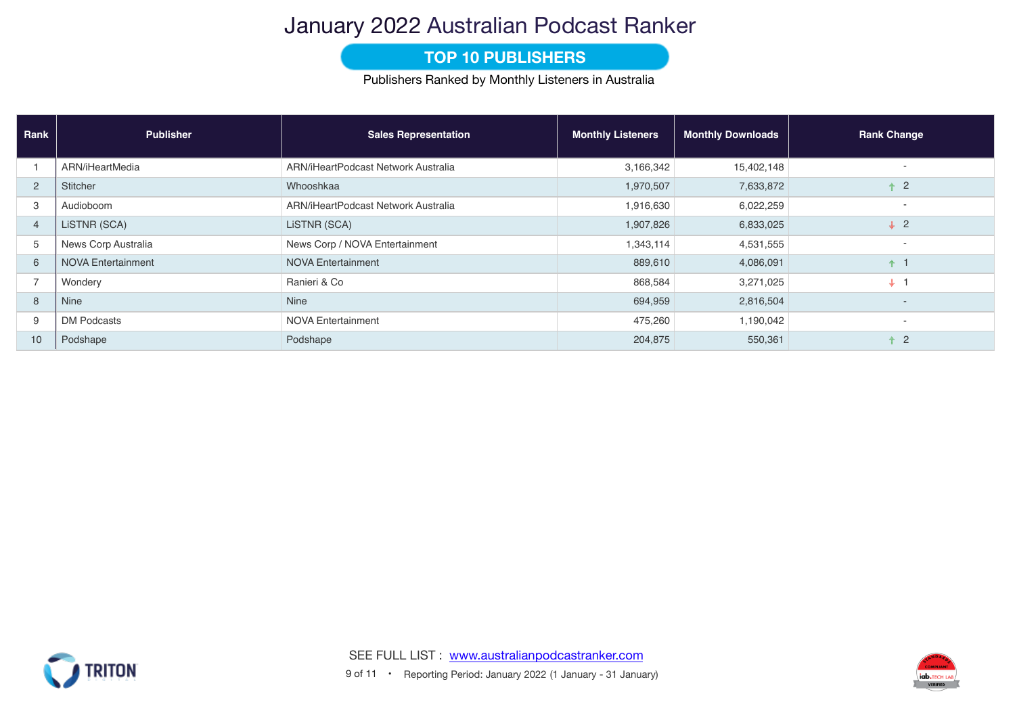## January 2022 Australian Podcast Ranker

### **TOP 10 PUBLISHERS**

Publishers Ranked by Monthly Listeners in Australia

| Rank                     | <b>Publisher</b>          | <b>Sales Representation</b>         | <b>Monthly Listeners</b> | <b>Monthly Downloads</b> | <b>Rank Change</b>       |
|--------------------------|---------------------------|-------------------------------------|--------------------------|--------------------------|--------------------------|
|                          | ARN/iHeartMedia           | ARN/iHeartPodcast Network Australia | 3,166,342                | 15,402,148               |                          |
| $\overline{2}$           | Stitcher                  | Whooshkaa                           | 1,970,507                | 7,633,872                | $\overline{2}$           |
| 3                        | Audioboom                 | ARN/iHeartPodcast Network Australia | 1,916,630                | 6,022,259                |                          |
| $\overline{4}$           | LISTNR (SCA)              | LISTNR (SCA)                        | 1,907,826                | 6,833,025                | $\downarrow$ 2           |
| 5                        | News Corp Australia       | News Corp / NOVA Entertainment      | 1,343,114                | 4,531,555                | $\overline{\phantom{a}}$ |
| 6                        | <b>NOVA Entertainment</b> | <b>NOVA Entertainment</b>           | 889,610                  | 4,086,091                | $+1$                     |
| $\overline{\phantom{0}}$ | Wondery                   | Ranieri & Co                        | 868,584                  | 3,271,025                | $\downarrow$ 1           |
| 8                        | <b>Nine</b>               | <b>Nine</b>                         | 694,959                  | 2,816,504                | $\overline{a}$           |
| 9                        | <b>DM Podcasts</b>        | <b>NOVA Entertainment</b>           | 475,260                  | 1,190,042                | $\overline{\phantom{a}}$ |
| 10                       | Podshape                  | Podshape                            | 204,875                  | 550,361                  | $\overline{2}$           |



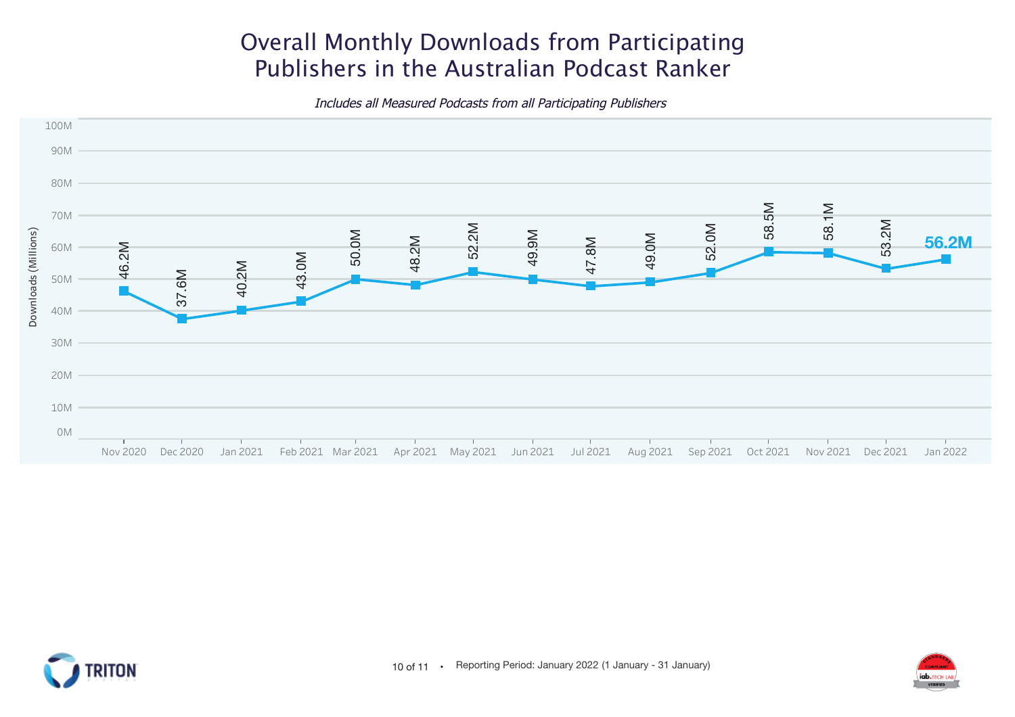# Overall Monthly Downloads from Participating Publishers in the Australian Podcast Ranker

Includes all Measured Podcasts from all Participating Publishers